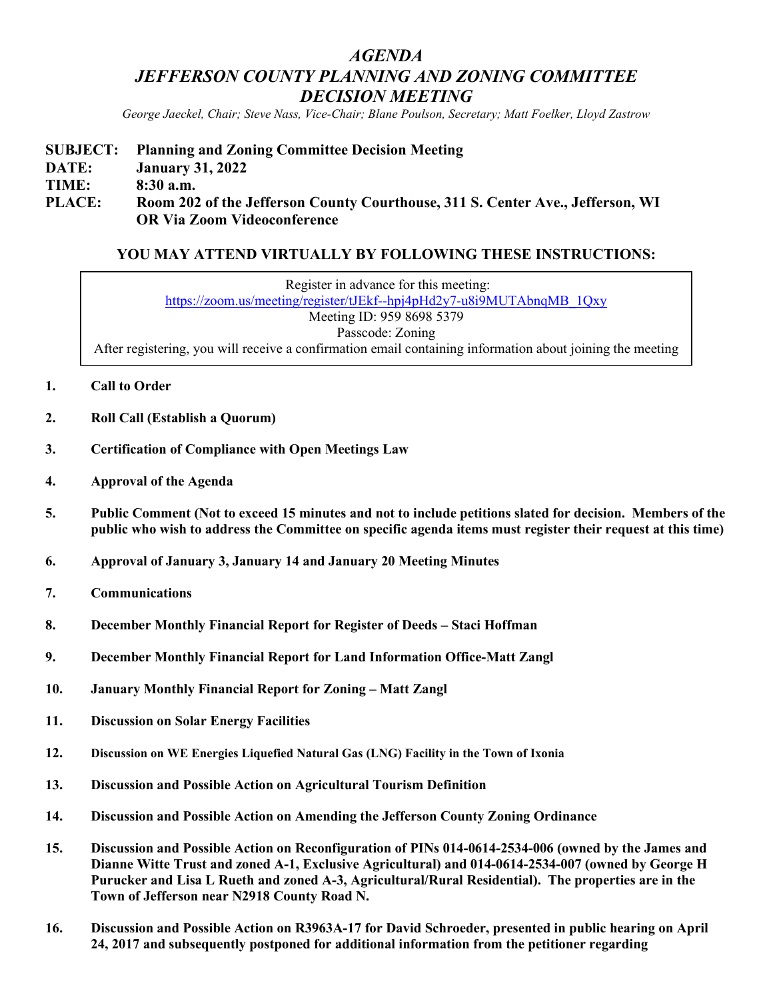# *AGENDA JEFFERSON COUNTY PLANNING AND ZONING COMMITTEE DECISION MEETING*

*George Jaeckel, Chair; Steve Nass, Vice-Chair; Blane Poulson, Secretary; Matt Foelker, Lloyd Zastrow*

# **SUBJECT: Planning and Zoning Committee Decision Meeting DATE: January 31, 2022 TIME: 8:30 a.m. PLACE: Room 202 of the Jefferson County Courthouse, 311 S. Center Ave., Jefferson, WI OR Via Zoom Videoconference**

# **YOU MAY ATTEND VIRTUALLY BY FOLLOWING THESE INSTRUCTIONS:**

Register in advance for this meeting: [https://zoom.us/meeting/register/tJEkf--hpj4pHd2y7-u8i9MUTAbnqMB\\_1Qxy](https://zoom.us/meeting/register/tJEkf--hpj4pHd2y7-u8i9MUTAbnqMB_1Qxy) Meeting ID: 959 8698 5379 Passcode: Zoning After registering, you will receive a confirmation email containing information about joining the meeting

- **1. Call to Order**
- **2. Roll Call (Establish a Quorum)**
- **3. Certification of Compliance with Open Meetings Law**
- **4. Approval of the Agenda**
- **5. Public Comment (Not to exceed 15 minutes and not to include petitions slated for decision. Members of the public who wish to address the Committee on specific agenda items must register their request at this time)**
- **6. Approval of January 3, January 14 and January 20 Meeting Minutes**
- **7. Communications**
- **8. December Monthly Financial Report for Register of Deeds – Staci Hoffman**
- **9. December Monthly Financial Report for Land Information Office-Matt Zangl**
- **10. January Monthly Financial Report for Zoning – Matt Zangl**
- **11. Discussion on Solar Energy Facilities**
- **12. Discussion on WE Energies Liquefied Natural Gas (LNG) Facility in the Town of Ixonia**
- **13. Discussion and Possible Action on Agricultural Tourism Definition**
- **14. Discussion and Possible Action on Amending the Jefferson County Zoning Ordinance**
- **15. Discussion and Possible Action on Reconfiguration of PINs 014-0614-2534-006 (owned by the James and Dianne Witte Trust and zoned A-1, Exclusive Agricultural) and 014-0614-2534-007 (owned by George H Purucker and Lisa L Rueth and zoned A-3, Agricultural/Rural Residential). The properties are in the Town of Jefferson near N2918 County Road N.**
- **16. Discussion and Possible Action on R3963A-17 for David Schroeder, presented in public hearing on April 24, 2017 and subsequently postponed for additional information from the petitioner regarding**